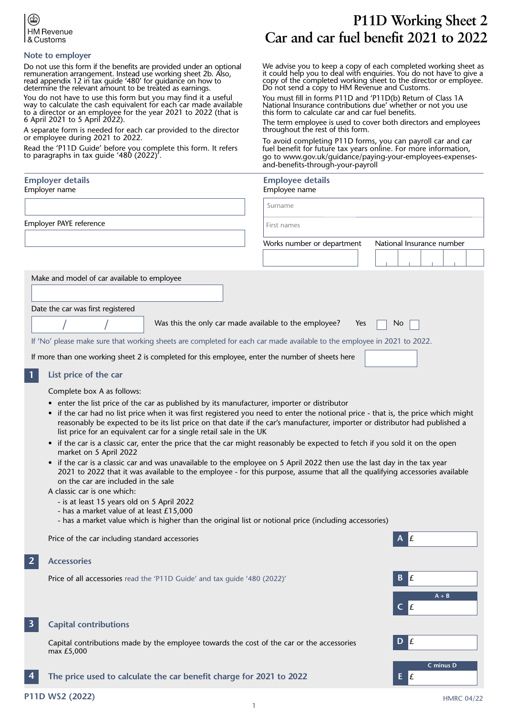

### **Note to employer**

Do not use this form if the benefits are provided under an optional remuneration arrangement. Instead use working sheet 2b. Also, read appendix 12 in tax guide '480' for guidance on how to determine the relevant amount to be treated as earnings.

You do not have to use this form but you may find it a useful way to calculate the cash equivalent for each´car made available to a director or an employee for the year 2021 to 2022 (that is 6 April 2021 to 5 April 2022).

A separate form is needed for each car provided to the director or employee during 2021 to 2022.

Read the 'P11D Guide' before you complete this form. It refers to paragraphs in tax guide '480 (2022)'.

## **Employer details**

Employer name

# **P11D Working Sheet 2 Car and car fuel benefit 2021 to 2022**

We advise you to keep a copy of each completed working sheet as it could help you to deal with enquiries. You do not have to give a copy of the completed working sheet to the director or employee. Do not send a copy to HM Revenue and Customs.

You must fill in forms P11D and 'P11D(b) Return of Class 1A National Insurance contributions due' whether or not you use this form to calculate car and car fuel benefits.

The term employee is used to cover both directors and employees throughout the rest of this form.

To avoid completing P11D forms, you can payroll car and car fuel benefit for future tax years online. For more information, go to www.gov.uk/guidance/paying-your-employees-expensesand-benefits-through-your-payroll

## **Employee details**

| Employer name                               |                                                                                                                         | Employee name              |                           |
|---------------------------------------------|-------------------------------------------------------------------------------------------------------------------------|----------------------------|---------------------------|
|                                             |                                                                                                                         | Surname                    |                           |
| Employer PAYE reference                     |                                                                                                                         | First names                |                           |
|                                             |                                                                                                                         | Works number or department | National Insurance number |
|                                             |                                                                                                                         |                            |                           |
| Make and model of car available to employee |                                                                                                                         |                            |                           |
|                                             |                                                                                                                         |                            |                           |
| Date the car was first registered           |                                                                                                                         |                            |                           |
|                                             | Was this the only car made available to the employee?                                                                   | Yes                        | No.                       |
|                                             | If 'No' please make sure that working sheets are completed for each car made available to the employee in 2021 to 2022. |                            |                           |
|                                             | If more than one working sheet 2 is completed for this employee, enter the number of sheets here                        |                            |                           |
| List price of the car                       |                                                                                                                         |                            |                           |

Complete box A as follows:

- enter the list price of the car as published by its manufacturer, importer or distributor
- if the car had no list price when it was first registered you need to enter the notional price that is, the price which might reasonably be expected to be its list price on that date if the car's manufacturer, importer or distributor had published a list price for an equivalent car for a single retail sale in the UK
- if the car is a classic car, enter the price that the car might reasonably be expected to fetch if you sold it on the open market on 5 April 2022
- if the car is a classic car and was unavailable to the employee on 5 April 2022 then use the last day in the tax year 2021 to 2022 that it was available to the employee - for this purpose, assume that all the qualifying accessories available on the car are included in the sale

A classic car is one which:

- is at least 15 years old on 5 April 2022
- has a market value of at least £15,000
- has a market value which is higher than the original list or notional price (including accessories)

Price of the car including standard accessories

#### **Accessories 2**

Price of all accessories read the 'P11D Guide' and tax quide '480 (2022)'



 Capital contributions made by the employee towards the cost of the car or the accessories max £5,000

**The price used to calculate the car benefit charge for 2021 to 2022 4**

**A + B**

**C minus D**

**A** £

**B** £

**C** £

**D** £

**E** £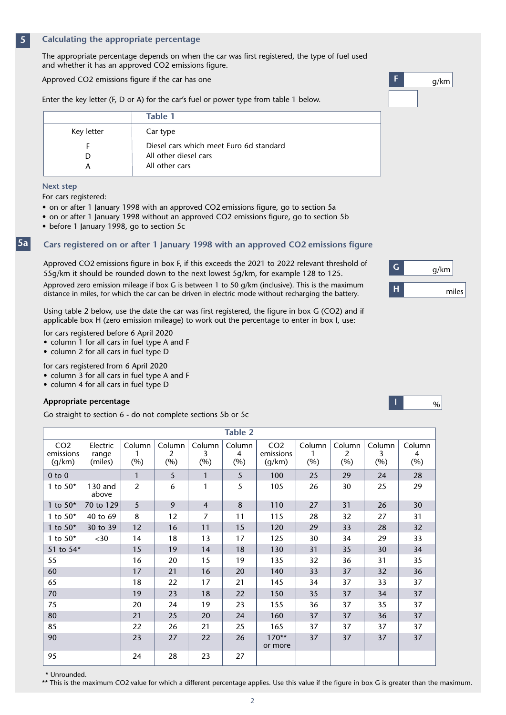#### **Calculating the appropriate percentage 5**

The appropriate percentage depends on when the car was first registered, the type of fuel used and whether it has an approved CO2 emissions figure.

Approved CO2 emissions figure if the car has one

Enter the key letter (F, D or A) for the car's fuel or power type from table 1 below.

| Table 1                                 |
|-----------------------------------------|
| Car type                                |
| Diesel cars which meet Euro 6d standard |
| All other diesel cars                   |
| All other cars                          |
|                                         |

#### **Next step**

**5a**

For cars registered:

- on or after 1 January 1998 with an approved CO2 emissions figure, go to section 5a
- on or after 1 January 1998 without an approved CO2 emissions figure, go to section 5b
- before 1 January 1998, go to section 5c

### **Cars registered on or after 1 January 1998 with an approved CO2 emissions figure**

Approved CO2 emissions figure in box F, if this exceeds the 2021 to 2022 relevant threshold of 55g/km it should be rounded down to the next lowest 5g/km, for example 128 to 125.

Approved zero emission mileage if box G is between 1 to 50 g/km (inclusive). This is the maximum distance in miles, for which the car can be driven in electric mode without recharging the battery.

Using table 2 below, use the date the car was first registered, the figure in box G (CO2) and if applicable box H (zero emission mileage) to work out the percentage to enter in box I, use:

- for cars registered before 6 April 2020 • column 1 for all cars in fuel type A and F
- column 2 for all cars in fuel type D

for cars registered from 6 April 2020

- column 3 for all cars in fuel type A and F
- column 4 for all cars in fuel type D

### **Appropriate percentage**

Go straight to section 6 - do not complete sections 5b or 5c

95 24 28 23 27

CO2 emissions  $(q/km)$ Electric range (miles) Column  $\boldsymbol{\Lambda}$ (%) Column  $\mathcal{D}$ (%) Column 3 (%) Column 2  $(%)$ CO2 emissions (g/km) Column 1 (%) Column 4 (%) Column 3 (%) Column 1 (%) **Table 2** 0 to 0 5 1 5 100 25 29 24 28 1 to 50\* 130 and 2 6 1 5 105 26 30 25 29 above 1 to 50\* 70 to 129 | 5 | 9 | 4 | 8 | 110 | 27 | 31 | 26 | 30 1 to 50\* 40 to 69 | 8 | 12 | 7 | 11 | 115 | 28 | 32 | 27 | 31 1 to 50\* 30 to 39 | 12 | 16 | 11 | 15 | 120 | 29 | 33 | 28 | 32 1 to 50\* <30 | 14 | 18 | 13 | 17 | 125 | 30 | 34 | 29 | 33 51 to 54\* 15 19 14 18 130 31 35 30 34 55 16 20 15 19 135 32 36 31 35 60 17 21 16 20 140 33 37 32 36 65 18 22 17 21 145 34 37 33 37 70 19 23 18 22 150 35 37 34 37 75 20 24 19 23 155 36 37 35 37 80 21 25 20 24 160 37 37 36 37 85 22 26 21 25 165 37 37 37 37 90 23 27 22 26 170\*\* 37 37 37 37 or more

\* Unrounded.

\*\* This is the maximum CO2 value for which a different percentage applies. Use this value if the figure in box G is greater than the maximum.

| g/km  |
|-------|
| miles |



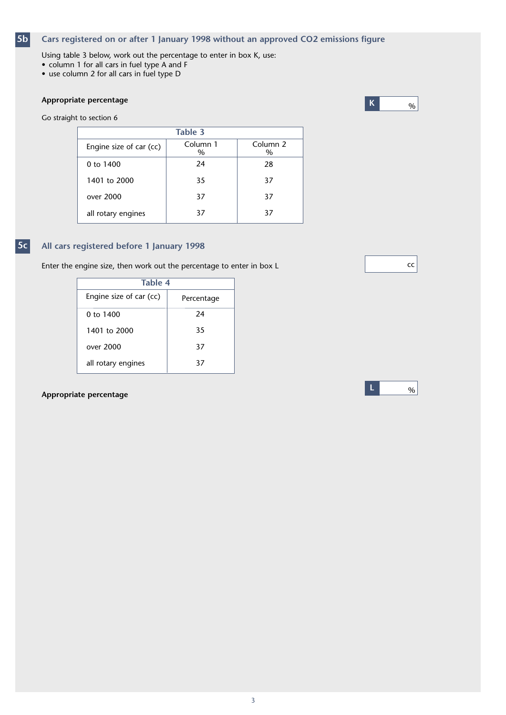#### **Cars registered on or after 1 January 1998 without an approved CO2 emissions figure 5b**

- Using table 3 below, work out the percentage to enter in box K, use:
- column 1 for all cars in fuel type A and F
- use column 2 for all cars in fuel type D

## **Appropriate percentage**

Go straight to section 6



|                         | Table 3          |                             |
|-------------------------|------------------|-----------------------------|
| Engine size of car (cc) | Column 1<br>$\%$ | Column <sub>2</sub><br>$\%$ |
| 0 to 1400               | 24               | 28                          |
| 1401 to 2000            | 35               | 37                          |
| over 2000               | 37               | 37                          |
| all rotary engines      | 37               | 37                          |

#### **All cars registered before 1 January 1998 5c**

Enter the engine size, then work out the percentage to enter in box L

| Table 4                 |            |
|-------------------------|------------|
| Engine size of car (cc) | Percentage |
| 0 to 1400               | 24         |
| 1401 to 2000            | 35         |
| over 2000               | 37         |
| all rotary engines      | 37         |

## **Appropriate percentage**





**L**